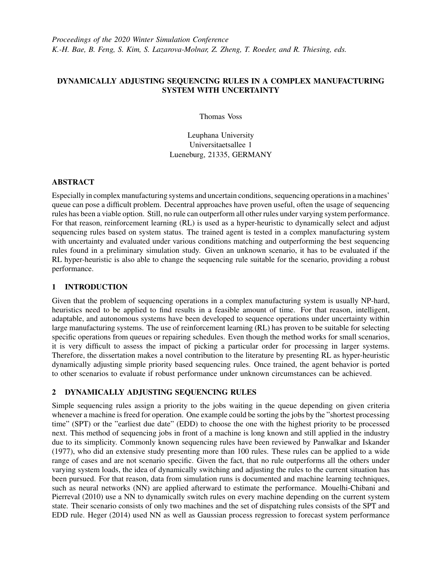# DYNAMICALLY ADJUSTING SEQUENCING RULES IN A COMPLEX MANUFACTURING SYSTEM WITH UNCERTAINTY

Thomas Voss

Leuphana University Universitaetsallee 1 Lueneburg, 21335, GERMANY

### ABSTRACT

Especially in complex manufacturing systems and uncertain conditions, sequencing operations in a machines' queue can pose a difficult problem. Decentral approaches have proven useful, often the usage of sequencing rules has been a viable option. Still, no rule can outperform all other rules under varying system performance. For that reason, reinforcement learning (RL) is used as a hyper-heuristic to dynamically select and adjust sequencing rules based on system status. The trained agent is tested in a complex manufacturing system with uncertainty and evaluated under various conditions matching and outperforming the best sequencing rules found in a preliminary simulation study. Given an unknown scenario, it has to be evaluated if the RL hyper-heuristic is also able to change the sequencing rule suitable for the scenario, providing a robust performance.

## 1 INTRODUCTION

Given that the problem of sequencing operations in a complex manufacturing system is usually NP-hard, heuristics need to be applied to find results in a feasible amount of time. For that reason, intelligent, adaptable, and autonomous systems have been developed to sequence operations under uncertainty within large manufacturing systems. The use of reinforcement learning (RL) has proven to be suitable for selecting specific operations from queues or repairing schedules. Even though the method works for small scenarios, it is very difficult to assess the impact of picking a particular order for processing in larger systems. Therefore, the dissertation makes a novel contribution to the literature by presenting RL as hyper-heuristic dynamically adjusting simple priority based sequencing rules. Once trained, the agent behavior is ported to other scenarios to evaluate if robust performance under unknown circumstances can be achieved.

# 2 DYNAMICALLY ADJUSTING SEQUENCING RULES

Simple sequencing rules assign a priority to the jobs waiting in the queue depending on given criteria whenever a machine is freed for operation. One example could be sorting the jobs by the "shortest processing time" (SPT) or the "earliest due date" (EDD) to choose the one with the highest priority to be processed next. This method of sequencing jobs in front of a machine is long known and still applied in the industry due to its simplicity. Commonly known sequencing rules have been reviewed by [Panwalkar and Iskander](#page-1-0) [\(1977\),](#page-1-0) who did an extensive study presenting more than 100 rules. These rules can be applied to a wide range of cases and are not scenario specific. Given the fact, that no rule outperforms all the others under varying system loads, the idea of dynamically switching and adjusting the rules to the current situation has been pursued. For that reason, data from simulation runs is documented and machine learning techniques, such as neural networks (NN) are applied afterward to estimate the performance. [Mouelhi-Chibani and](#page-1-1) [Pierreval \(2010\)](#page-1-1) use a NN to dynamically switch rules on every machine depending on the current system state. Their scenario consists of only two machines and the set of dispatching rules consists of the SPT and EDD rule. [Heger \(2014\)](#page-1-2) used NN as well as Gaussian process regression to forecast system performance